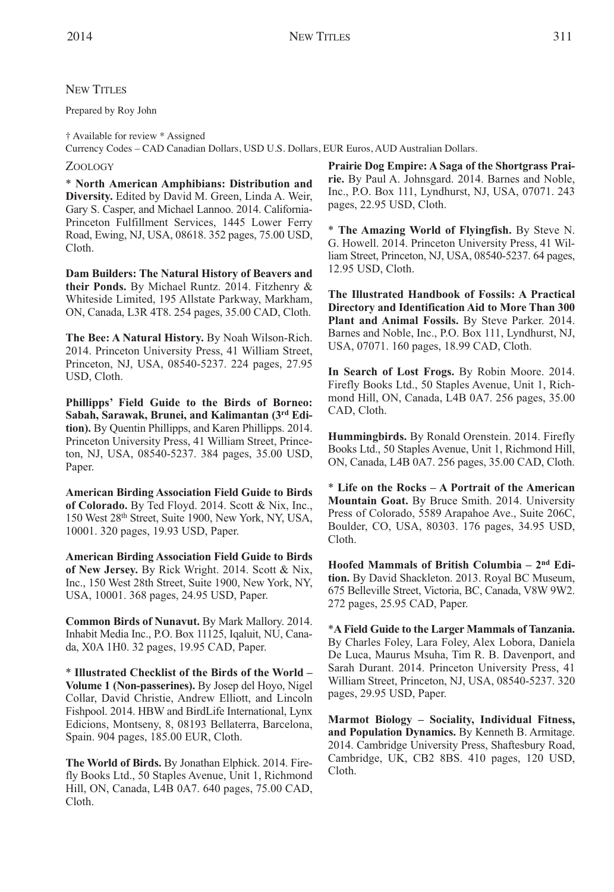## NEW TITLES

Prepared by Roy John

† Available for review \* Assigned Currency Codes – CAD Canadian Dollars, USD U.S. Dollars, EUR Euros, AUD Australian Dollars.

## ZOOLOGY

\* **North American Amphibians: Distribution and Diversity.** Edited by David M. Green, Linda A. Weir, Gary S. Casper, and Michael Lannoo. 2014. California-Princeton Fulfillment Services, 1445 Lower Ferry Road, Ewing, NJ, USA, 08618. 352 pages, 75.00 USD, Cloth.

**Dam Builders: The Natural History of Beavers and their Ponds.** By Michael Runtz. 2014. Fitzhenry & Whiteside Limited, 195 Allstate Parkway, Markham, ON, Canada, L3R 4T8. 254 pages, 35.00 CAD, Cloth.

**The Bee: A Natural History.** By Noah Wilson-Rich. 2014. Princeton University Press, 41 William Street, Princeton, NJ, USA, 08540-5237. 224 pages, 27.95 USD, Cloth.

**Phillipps' Field Guide to the Birds of Borneo: Sabah, Sarawak, Brunei, and Kalimantan (3rd Edition).** By Quentin Phillipps, and Karen Phillipps. 2014. Princeton University Press, 41 William Street, Princeton, NJ, USA, 08540-5237. 384 pages, 35.00 USD, Paper.

**American Birding Association Field Guide to Birds of Colorado.** By Ted Floyd. 2014. Scott & Nix, Inc., 150 West 28th Street, Suite 1900, New York, NY, USA, 10001. 320 pages, 19.93 USD, Paper.

**American Birding Association Field Guide to Birds of New Jersey.** By Rick Wright. 2014. Scott & Nix, Inc., 150 West 28th Street, Suite 1900, New York, NY, USA, 10001. 368 pages, 24.95 USD, Paper.

**Common Birds of Nunavut.** By Mark Mallory. 2014. Inhabit Media Inc., P.O. Box 11125, Iqaluit, NU, Canada, X0A 1H0. 32 pages, 19.95 CAD, Paper.

\* **Illustrated Checklist of the Birds of the World – Volume 1 (Non-passerines).** By Josep del Hoyo, Nigel Collar, David Christie, Andrew Elliott, and Lincoln Fishpool. 2014. HBW and BirdLife International, Lynx Edicions, Montseny, 8, 08193 Bellaterra, Barcelona, Spain. 904 pages, 185.00 EUR, Cloth.

**The World of Birds.** By Jonathan Elphick. 2014. Firefly Books Ltd., 50 Staples Avenue, Unit 1, Richmond Hill, ON, Canada, L4B 0A7. 640 pages, 75.00 CAD, Cloth.

**Prairie Dog Empire: A Saga of the Shortgrass Prairie.** By Paul A. Johnsgard. 2014. Barnes and Noble, Inc., P.O. Box 111, Lyndhurst, NJ, USA, 07071. 243 pages, 22.95 USD, Cloth.

\* **The Amazing World of Flyingfish.** By Steve N. G. Howell. 2014. Princeton University Press, 41 William Street, Princeton, NJ, USA, 08540-5237. 64 pages, 12.95 USD, Cloth.

**The Illustrated Handbook of Fossils: A Practical Directory and Identification Aid to More Than 300 Plant and Animal Fossils.** By Steve Parker. 2014. Barnes and Noble, Inc., P.O. Box 111, Lyndhurst, NJ, USA, 07071. 160 pages, 18.99 CAD, Cloth.

**In Search of Lost Frogs.** By Robin Moore. 2014. Firefly Books Ltd., 50 Staples Avenue, Unit 1, Richmond Hill, ON, Canada, L4B 0A7. 256 pages, 35.00 CAD, Cloth.

**Hummingbirds.** By Ronald Orenstein. 2014. Firefly Books Ltd., 50 Staples Avenue, Unit 1, Richmond Hill, ON, Canada, L4B 0A7. 256 pages, 35.00 CAD, Cloth.

\* **Life on the Rocks – A Portrait of the American Mountain Goat.** By Bruce Smith. 2014. University Press of Colorado, 5589 Arapahoe Ave., Suite 206C, Boulder, CO, USA, 80303. 176 pages, 34.95 USD, Cloth.

**Hoofed Mammals of British Columbia – 2nd Edition.** By David Shackleton. 2013. Royal BC Museum, 675 Belleville Street, Victoria, BC, Canada, V8W 9W2. 272 pages, 25.95 CAD, Paper.

\***A Field Guide to the Larger Mammals of Tanzania.** By Charles Foley, Lara Foley, Alex Lobora, Daniela De Luca, Maurus Msuha, Tim R. B. Davenport, and Sarah Durant. 2014. Princeton University Press, 41 William Street, Princeton, NJ, USA, 08540-5237. 320 pages, 29.95 USD, Paper.

**Marmot Biology – Sociality, Individual Fitness, and Population Dynamics.** By Kenneth B. Armitage. 2014. Cambridge University Press, Shaftesbury Road, Cambridge, UK, CB2 8BS. 410 pages, 120 USD, Cloth.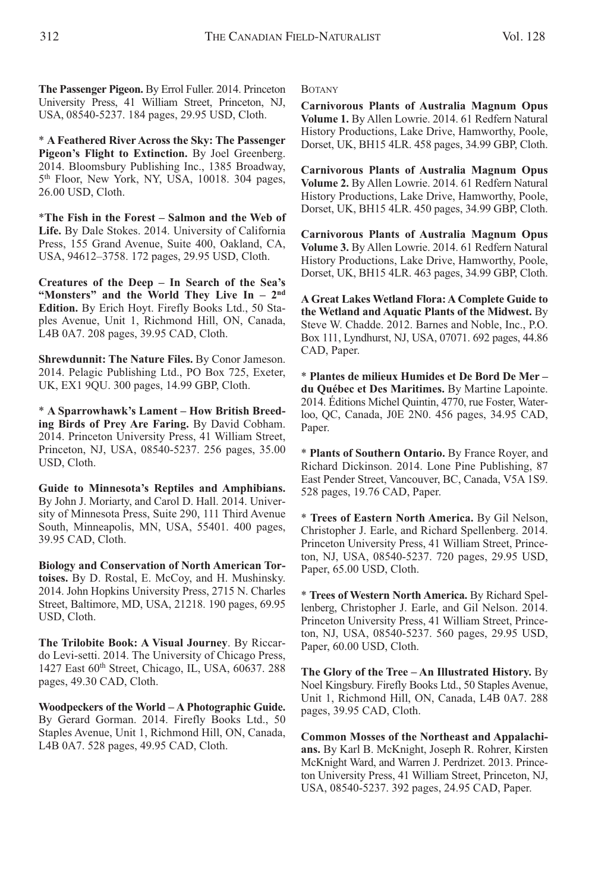**The Passenger Pigeon.** By Errol Fuller. 2014. Princeton University Press, 41 William Street, Princeton, NJ, USA, 08540-5237. 184 pages, 29.95 USD, Cloth.

\* **A Feathered River Across the Sky: The Passenger Pigeon's Flight to Extinction.** By Joel Greenberg. 2014. Bloomsbury Publishing Inc., 1385 Broadway, 5<sup>th</sup> Floor, New York, NY, USA, 10018. 304 pages, 26.00 USD, Cloth.

\***The Fish in the Forest – Salmon and the Web of Life.** By Dale Stokes. 2014. University of California Press, 155 Grand Avenue, Suite 400, Oakland, CA, USA, 94612–3758. 172 pages, 29.95 USD, Cloth.

**Creatures of the Deep – In Search of the Sea's "Monsters" and the World They Live In – 2nd Edition.** By Erich Hoyt. Firefly Books Ltd., 50 Staples Avenue, Unit 1, Richmond Hill, ON, Canada, L4B 0A7. 208 pages, 39.95 CAD, Cloth.

**Shrewdunnit: The Nature Files.** By Conor Jameson. 2014. Pelagic Publishing Ltd., PO Box 725, Exeter, UK, EX1 9QU. 300 pages, 14.99 GBP, Cloth.

\* **A Sparrowhawk's Lament – How British Breeding Birds of Prey Are Faring.** By David Cobham. 2014. Princeton University Press, 41 William Street, Princeton, NJ, USA, 08540-5237. 256 pages, 35.00 USD, Cloth.

**Guide to Minnesota's Reptiles and Amphibians.** By John J. Moriarty, and Carol D. Hall. 2014. University of Minnesota Press, Suite 290, 111 Third Avenue South, Minneapolis, MN, USA, 55401. 400 pages, 39.95 CAD, Cloth.

**Biology and Conservation of North American Tortoises.** By D. Rostal, E. McCoy, and H. Mushinsky. 2014. John Hopkins University Press, 2715 N. Charles Street, Baltimore, MD, USA, 21218. 190 pages, 69.95 USD, Cloth.

**The Trilobite Book: A Visual Journey**. By Riccardo Levi-setti. 2014. The University of Chicago Press, 1427 East 60<sup>th</sup> Street, Chicago, IL, USA, 60637, 288 pages, 49.30 CAD, Cloth.

**Woodpeckers of the World – A Photographic Guide.** By Gerard Gorman. 2014. Firefly Books Ltd., 50 Staples Avenue, Unit 1, Richmond Hill, ON, Canada, L4B 0A7. 528 pages, 49.95 CAD, Cloth.

**BOTANY** 

**Carnivorous Plants of Australia Magnum Opus Volume 1.** By Allen Lowrie. 2014. 61 Redfern Natural History Productions, Lake Drive, Hamworthy, Poole, Dorset, UK, BH15 4LR. 458 pages, 34.99 GBP, Cloth.

**Carnivorous Plants of Australia Magnum Opus Volume 2.** By Allen Lowrie. 2014. 61 Redfern Natural History Productions, Lake Drive, Hamworthy, Poole, Dorset, UK, BH15 4LR. 450 pages, 34.99 GBP, Cloth.

**Carnivorous Plants of Australia Magnum Opus Volume 3.** By Allen Lowrie. 2014. 61 Redfern Natural History Productions, Lake Drive, Hamworthy, Poole, Dorset, UK, BH15 4LR. 463 pages, 34.99 GBP, Cloth.

**AGreat Lakes Wetland Flora: A Complete Guide to the Wetland and Aquatic Plants of the Midwest.** By Steve W. Chadde. 2012. Barnes and Noble, Inc., P.O. Box 111, Lyndhurst, NJ, USA, 07071. 692 pages, 44.86 CAD, Paper.

\* **Plantes de milieux Humides et De Bord De Mer – du Québec et Des Maritimes.** By Martine Lapointe. 2014. Éditions Michel Quintin, 4770, rue Foster, Waterloo, QC, Canada, J0E 2N0. 456 pages, 34.95 CAD, Paper.

\* **Plants of Southern Ontario.** By France Royer, and Richard Dickinson. 2014. Lone Pine Publishing, 87 East Pender Street, Vancouver, BC, Canada, V5A 1S9. 528 pages, 19.76 CAD, Paper.

\* **Trees of Eastern North America.** By Gil Nelson, Christopher J. Earle, and Richard Spellenberg. 2014. Princeton University Press, 41 William Street, Princeton, NJ, USA, 08540-5237. 720 pages, 29.95 USD, Paper, 65.00 USD, Cloth.

\* **Trees of Western North America.** By Richard Spellenberg, Christopher J. Earle, and Gil Nelson. 2014. Princeton University Press, 41 William Street, Princeton, NJ, USA, 08540-5237. 560 pages, 29.95 USD, Paper, 60.00 USD, Cloth.

**The Glory of the Tree – An Illustrated History.** By Noel Kingsbury. Firefly Books Ltd., 50 Staples Avenue, Unit 1, Richmond Hill, ON, Canada, L4B 0A7. 288 pages, 39.95 CAD, Cloth.

**Common Mosses of the Northeast and Appalachians.** By Karl B. McKnight, Joseph R. Rohrer, Kirsten McKnight Ward, and Warren J. Perdrizet. 2013. Princeton University Press, 41 William Street, Princeton, NJ, USA, 08540-5237. 392 pages, 24.95 CAD, Paper.